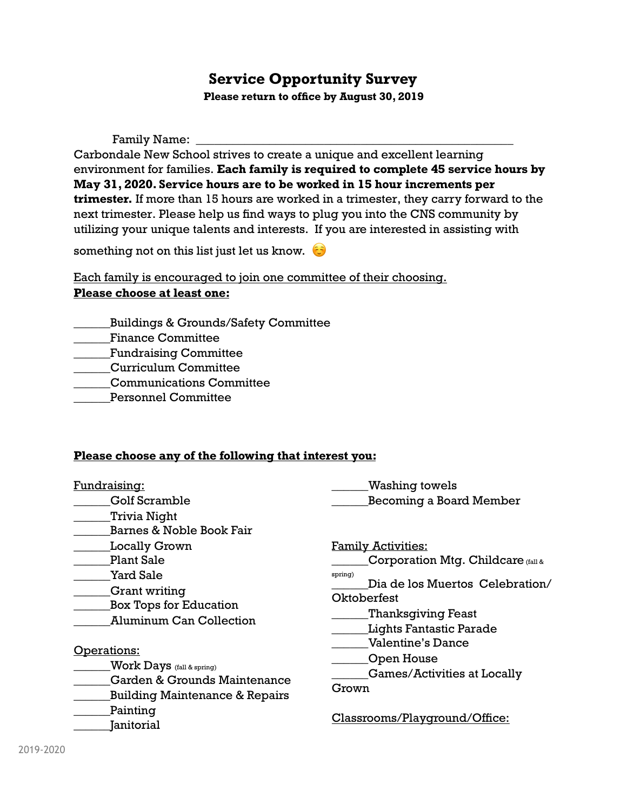## **Service Opportunity Survey**

**Please return to office by August 30, 2019** 

Family Name: \_\_\_\_\_\_\_\_\_\_\_\_\_\_\_\_\_\_\_\_\_\_\_\_\_\_\_\_\_\_\_\_\_\_\_\_\_\_\_\_\_\_\_\_\_\_\_\_\_\_\_\_

Carbondale New School strives to create a unique and excellent learning environment for families. **Each family is required to complete 45 service hours by May 31, 2020. Service hours are to be worked in 15 hour increments per trimester.** If more than 15 hours are worked in a trimester, they carry forward to the next trimester. Please help us find ways to plug you into the CNS community by utilizing your unique talents and interests. If you are interested in assisting with

something not on this list just let us know.  $\odot$ 

Each family is encouraged to join one committee of their choosing. **Please choose at least one:** 

- \_\_\_\_\_\_Buildings & Grounds/Safety Committee
- \_\_\_\_\_\_Finance Committee
- \_\_\_\_\_\_Fundraising Committee
- \_\_\_\_\_\_Curriculum Committee
- \_\_\_\_\_\_Communications Committee
- \_\_\_\_\_\_Personnel Committee

## **Please choose any of the following that interest you:**

| Fundraising:<br><b>Golf Scramble</b><br>Trivia Night                                                                                     | Washing towels<br><b>Becoming a Board Member</b>                                                                                                 |
|------------------------------------------------------------------------------------------------------------------------------------------|--------------------------------------------------------------------------------------------------------------------------------------------------|
| <b>Barnes &amp; Noble Book Fair</b><br><b>Locally Grown</b>                                                                              | <b>Family Activities:</b>                                                                                                                        |
| <b>Plant Sale</b><br>Yard Sale<br>Grant writing<br><b>Box Tops for Education</b><br><b>Aluminum Can Collection</b>                       | Corporation Mtg. Childcare (fall &<br>spring)<br>Dia de los Muertos Celebration/<br>Oktoberfest<br>Thanksgiving Feast<br>Lights Fantastic Parade |
| Operations:<br><b>Work Days</b> (fall & spring)<br>Garden & Grounds Maintenance<br><b>Building Maintenance &amp; Repairs</b><br>Painting | <b>Valentine's Dance</b><br>Open House<br><b>Games/Activities at Locally</b><br>Grown<br>Classrooms/Playground/Office:                           |